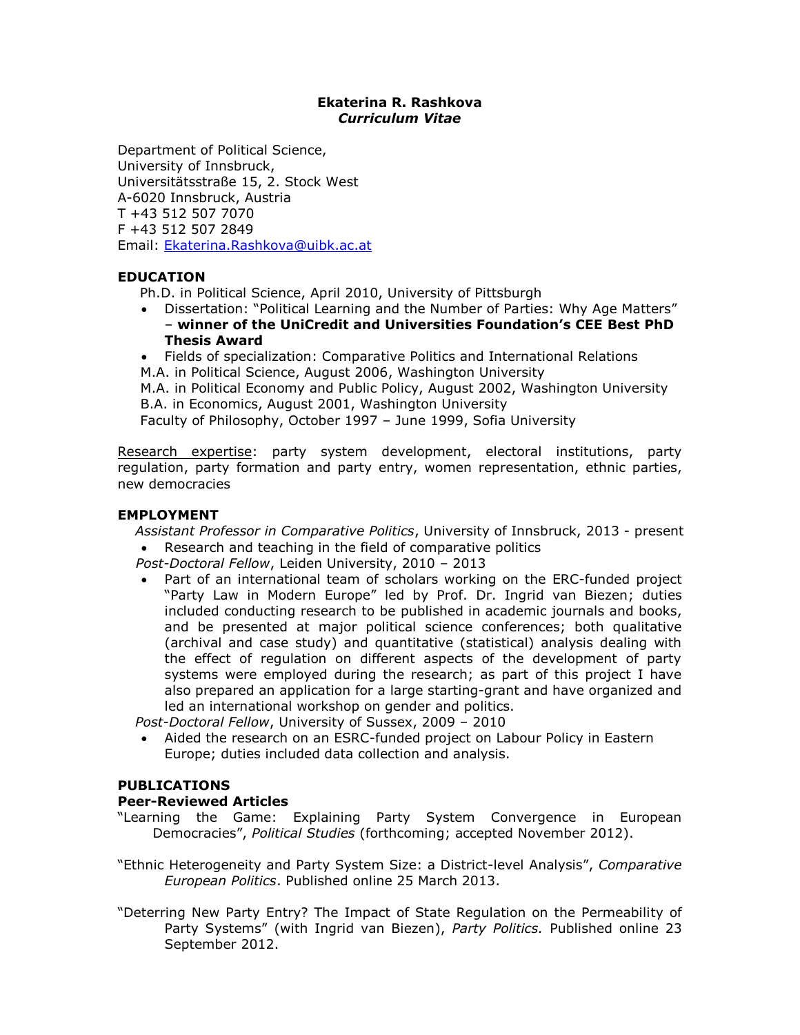## **Ekaterina R. Rashkova** *Curriculum Vitae*

Department of Political Science, University of Innsbruck, Universitätsstraße 15, 2. Stock West A-6020 Innsbruck, Austria T +43 512 507 7070 F +43 512 507 2849 Email: [Ekaterina.Rashkova@uibk.ac.at](mailto:Ekaterina.Rashkova@uibk.ac.at)

# **EDUCATION**

- Ph.D. in Political Science, April 2010, University of Pittsburgh
- Dissertation: "Political Learning and the Number of Parties: Why Age Matters" – **winner of the UniCredit and Universities Foundation's CEE Best PhD Thesis Award**
- Fields of specialization: Comparative Politics and International Relations M.A. in Political Science, August 2006, Washington University

 M.A. in Political Economy and Public Policy, August 2002, Washington University B.A. in Economics, August 2001, Washington University

Faculty of Philosophy, October 1997 – June 1999, Sofia University

Research expertise: party system development, electoral institutions, party regulation, party formation and party entry, women representation, ethnic parties, new democracies

## **EMPLOYMENT**

*Assistant Professor in Comparative Politics*, University of Innsbruck, 2013 - present

- Research and teaching in the field of comparative politics
- *Post-Doctoral Fellow*, Leiden University, 2010 2013
- Part of an international team of scholars working on the ERC-funded project "Party Law in Modern Europe" led by Prof. Dr. Ingrid van Biezen; duties included conducting research to be published in academic journals and books, and be presented at major political science conferences; both qualitative (archival and case study) and quantitative (statistical) analysis dealing with the effect of regulation on different aspects of the development of party systems were employed during the research; as part of this project I have also prepared an application for a large starting-grant and have organized and led an international workshop on gender and politics.

*Post-Doctoral Fellow*, University of Sussex, 2009 – 2010

• Aided the research on an ESRC-funded project on Labour Policy in Eastern Europe; duties included data collection and analysis.

## **PUBLICATIONS**

# **Peer-Reviewed Articles**

- "Learning the Game: Explaining Party System Convergence in European Democracies", *Political Studies* (forthcoming; accepted November 2012).
- "Ethnic Heterogeneity and Party System Size: a District-level Analysis", *Comparative European Politics*. Published online 25 March 2013.
- "Deterring New Party Entry? The Impact of State Regulation on the Permeability of Party Systems" (with Ingrid van Biezen), *Party Politics.* Published online 23 September 2012.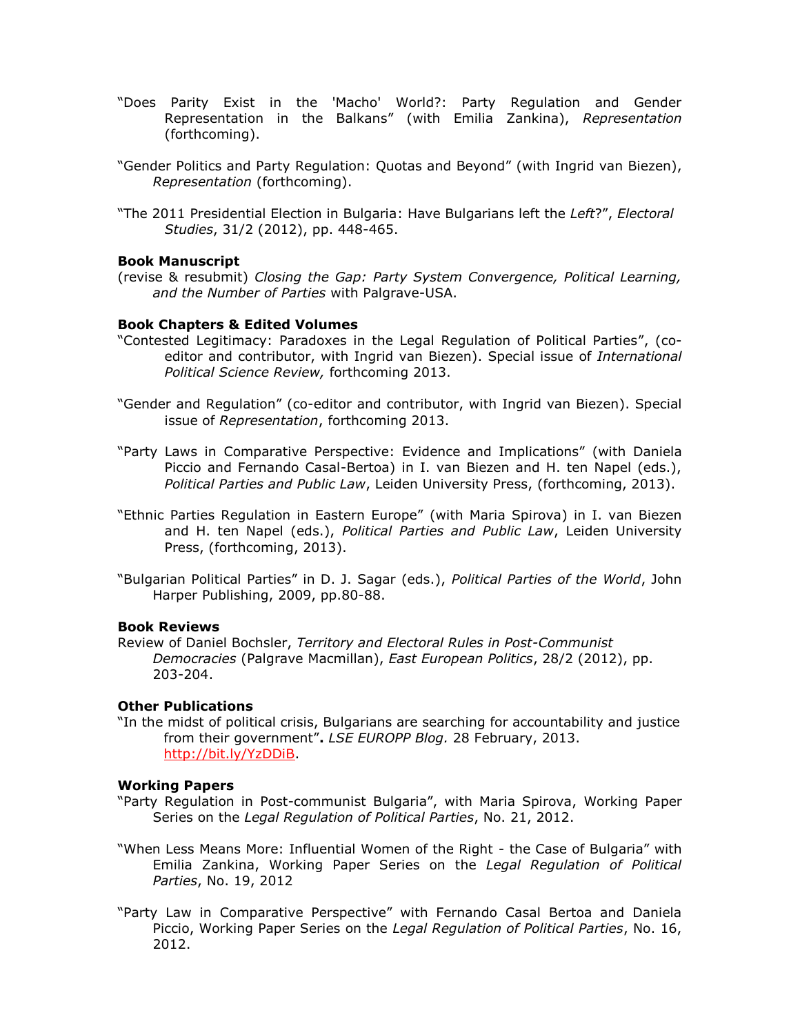- "Does Parity Exist in the 'Macho' World?: Party Regulation and Gender Representation in the Balkans" (with Emilia Zankina), *Representation*  (forthcoming).
- "Gender Politics and Party Regulation: Quotas and Beyond" (with Ingrid van Biezen), *Representation* (forthcoming).
- "The 2011 Presidential Election in Bulgaria: Have Bulgarians left the *Left*?", *Electoral Studies*, 31/2 (2012), pp. 448-465.

### **Book Manuscript**

(revise & resubmit) *Closing the Gap: Party System Convergence, Political Learning, and the Number of Parties* with Palgrave-USA.

### **Book Chapters & Edited Volumes**

- "Contested Legitimacy: Paradoxes in the Legal Regulation of Political Parties", (coeditor and contributor, with Ingrid van Biezen). Special issue of *International Political Science Review,* forthcoming 2013.
- "Gender and Regulation" (co-editor and contributor, with Ingrid van Biezen). Special issue of *Representation*, forthcoming 2013.
- "Party Laws in Comparative Perspective: Evidence and Implications" (with Daniela Piccio and Fernando Casal-Bertoa) in I. van Biezen and H. ten Napel (eds.), *Political Parties and Public Law*, Leiden University Press, (forthcoming, 2013).
- "Ethnic Parties Regulation in Eastern Europe" (with Maria Spirova) in I. van Biezen and H. ten Napel (eds.), *Political Parties and Public Law*, Leiden University Press, (forthcoming, 2013).
- "Bulgarian Political Parties" in D. J. Sagar (eds.), *Political Parties of the World*, John Harper Publishing, 2009, pp.80-88.

### **Book Reviews**

Review of Daniel Bochsler, *Territory and Electoral Rules in Post-Communist Democracies* (Palgrave Macmillan), *East European Politics*, 28/2 (2012), pp. 203-204.

## **Other Publications**

"In the midst of political crisis, Bulgarians are searching for accountability and justice from their government"**.** *LSE EUROPP Blog.* 28 February, 2013. [http://bit.ly/YzDDiB.](http://bit.ly/YzDDiB)

### **Working Papers**

- "Party Regulation in Post-communist Bulgaria", with Maria Spirova, Working Paper Series on the *Legal Regulation of Political Parties*, No. 21, 2012.
- "When Less Means More: Influential Women of the Right the Case of Bulgaria" with Emilia Zankina, Working Paper Series on the *Legal Regulation of Political Parties*, No. 19, 2012
- "Party Law in Comparative Perspective" with Fernando Casal Bertoa and Daniela Piccio, Working Paper Series on the *Legal Regulation of Political Parties*, No. 16, 2012.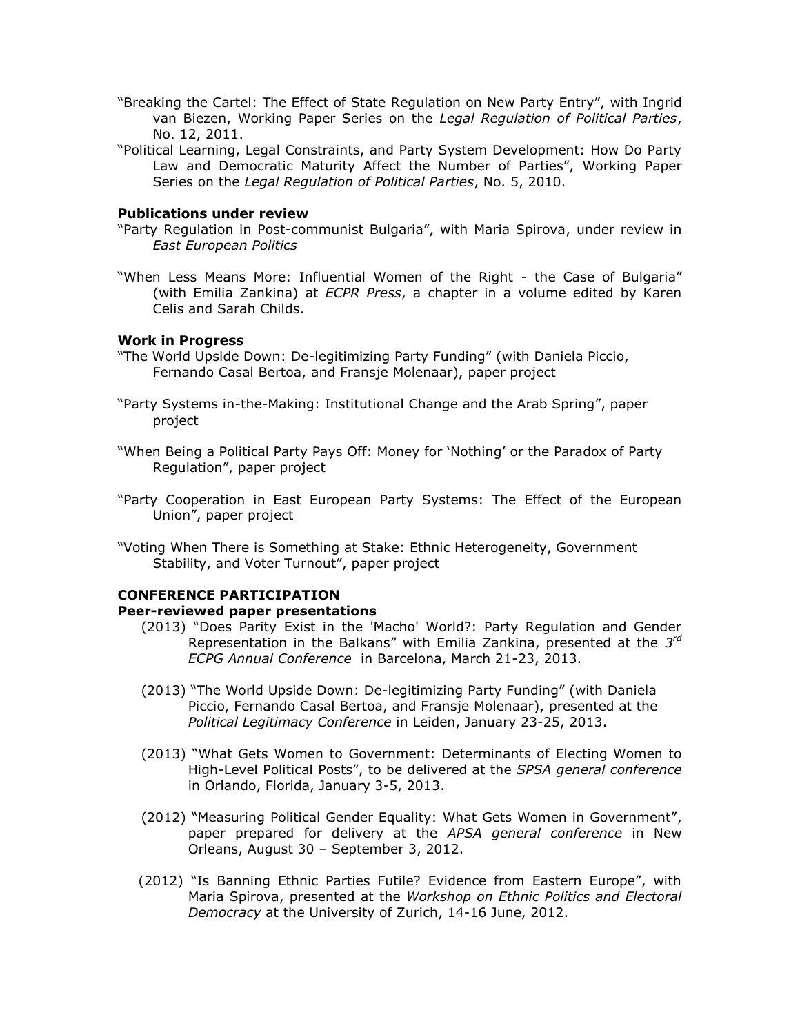- "Breaking the Cartel: The Effect of State Regulation on New Party Entry", with Ingrid van Biezen, Working Paper Series on the *Legal Regulation of Political Parties*, No. 12, 2011.
- "Political Learning, Legal Constraints, and Party System Development: How Do Party Law and Democratic Maturity Affect the Number of Parties", Working Paper Series on the *Legal Regulation of Political Parties*, No. 5, 2010.

### **Publications under review**

- "Party Regulation in Post-communist Bulgaria", with Maria Spirova, under review in *East European Politics*
- "When Less Means More: Influential Women of the Right the Case of Bulgaria" (with Emilia Zankina) at *ECPR Press*, a chapter in a volume edited by Karen Celis and Sarah Childs.

#### **Work in Progress**

- "The World Upside Down: De-legitimizing Party Funding" (with Daniela Piccio, Fernando Casal Bertoa, and Fransje Molenaar), paper project
- "Party Systems in-the-Making: Institutional Change and the Arab Spring", paper project
- "When Being a Political Party Pays Off: Money for 'Nothing' or the Paradox of Party Regulation", paper project
- "Party Cooperation in East European Party Systems: The Effect of the European Union", paper project
- "Voting When There is Something at Stake: Ethnic Heterogeneity, Government Stability, and Voter Turnout", paper project

#### **CONFERENCE PARTICIPATION**

#### **Peer-reviewed paper presentations**

- (2013) "Does Parity Exist in the 'Macho' World?: Party Regulation and Gender Representation in the Balkans" with Emilia Zankina, presented at the *3 rd ECPG Annual Conference* in Barcelona, March 21-23, 2013.
- (2013) "The World Upside Down: De-legitimizing Party Funding" (with Daniela Piccio, Fernando Casal Bertoa, and Fransje Molenaar), presented at the *Political Legitimacy Conference* in Leiden, January 23-25, 2013.
- (2013) "What Gets Women to Government: Determinants of Electing Women to High-Level Political Posts", to be delivered at the *SPSA general conference* in Orlando, Florida, January 3-5, 2013.
- (2012) "Measuring Political Gender Equality: What Gets Women in Government", paper prepared for delivery at the *APSA general conference* in New Orleans, August 30 – September 3, 2012.
- (2012) "Is Banning Ethnic Parties Futile? Evidence from Eastern Europe", with Maria Spirova, presented at the *Workshop on Ethnic Politics and Electoral Democracy* at the University of Zurich, 14-16 June, 2012.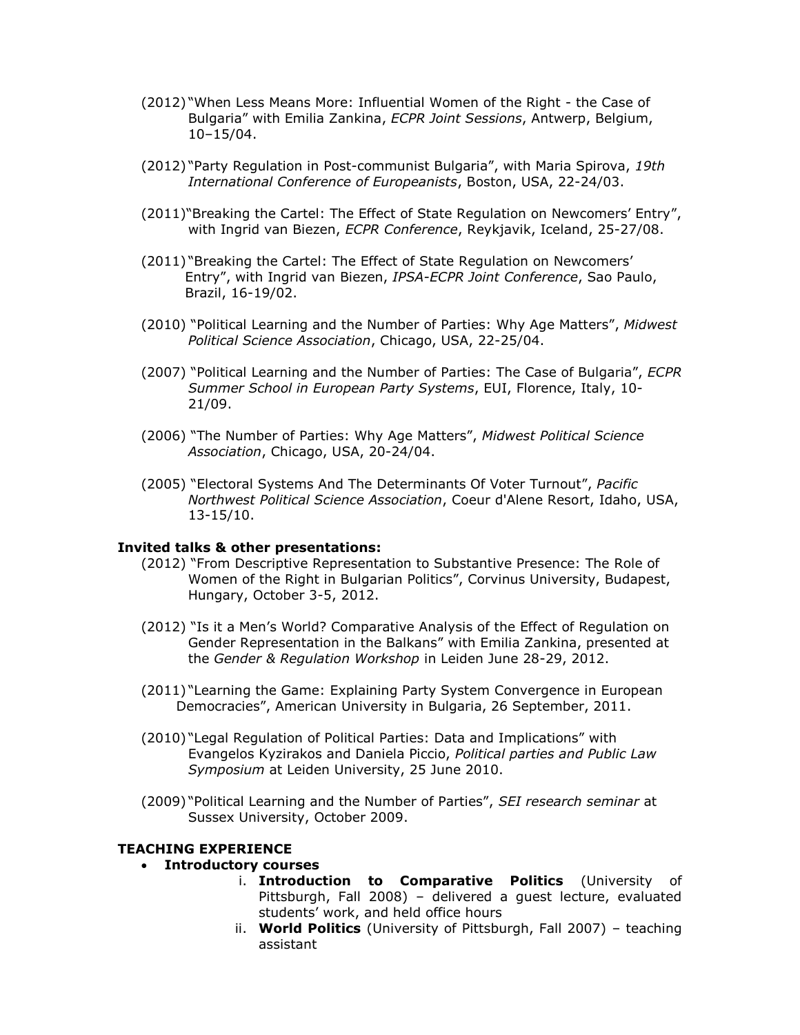- (2012) "When Less Means More: Influential Women of the Right the Case of Bulgaria" with Emilia Zankina, *ECPR Joint Sessions*, Antwerp, Belgium, 10–15/04.
- (2012) "Party Regulation in Post-communist Bulgaria", with Maria Spirova, *19th International Conference of Europeanists*, Boston, USA, 22-24/03.
- (2011)"Breaking the Cartel: The Effect of State Regulation on Newcomers' Entry", with Ingrid van Biezen, *ECPR Conference*, Reykjavik, Iceland, 25-27/08.
- (2011) "Breaking the Cartel: The Effect of State Regulation on Newcomers' Entry", with Ingrid van Biezen, *IPSA-ECPR Joint Conference*, Sao Paulo, Brazil, 16-19/02.
- (2010) "Political Learning and the Number of Parties: Why Age Matters", *Midwest Political Science Association*, Chicago, USA, 22-25/04.
- (2007) "Political Learning and the Number of Parties: The Case of Bulgaria", *ECPR Summer School in European Party Systems*, EUI, Florence, Italy, 10- 21/09.
- (2006) "The Number of Parties: Why Age Matters", *Midwest Political Science Association*, Chicago, USA, 20-24/04.
- (2005) "Electoral Systems And The Determinants Of Voter Turnout", *Pacific Northwest Political Science Association*, Coeur d'Alene Resort, Idaho, USA, 13-15/10.

### **Invited talks & other presentations:**

- (2012) "From Descriptive Representation to Substantive Presence: The Role of Women of the Right in Bulgarian Politics", Corvinus University, Budapest, Hungary, October 3-5, 2012.
- (2012) "Is it a Men's World? Comparative Analysis of the Effect of Regulation on Gender Representation in the Balkans" with Emilia Zankina, presented at the *Gender & Regulation Workshop* in Leiden June 28-29, 2012.
- (2011) "Learning the Game: Explaining Party System Convergence in European Democracies", American University in Bulgaria, 26 September, 2011.
- (2010) "Legal Regulation of Political Parties: Data and Implications" with Evangelos Kyzirakos and Daniela Piccio, *Political parties and Public Law Symposium* at Leiden University, 25 June 2010.
- (2009) "Political Learning and the Number of Parties", *SEI research seminar* at Sussex University, October 2009.

### **TEACHING EXPERIENCE**

- **Introductory courses**
	- i. **Introduction to Comparative Politics** (University of Pittsburgh, Fall 2008) – delivered a guest lecture, evaluated students' work, and held office hours
	- ii. **World Politics** (University of Pittsburgh, Fall 2007) teaching assistant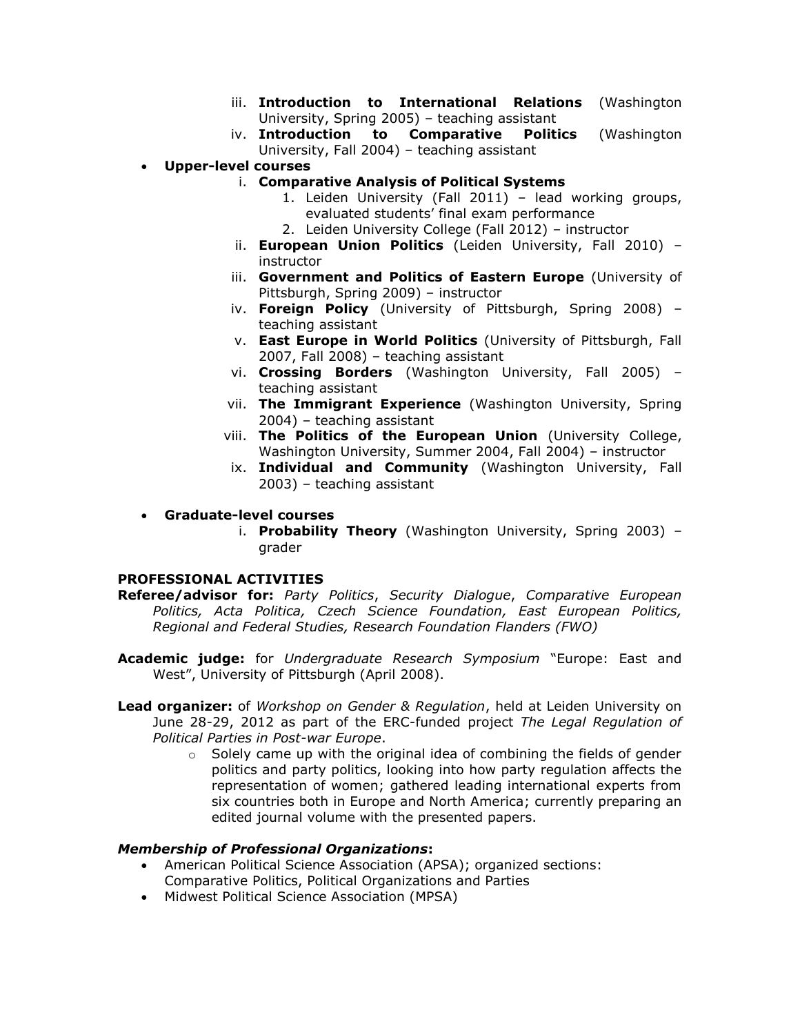- iii. **Introduction to International Relations** (Washington University, Spring 2005) – teaching assistant
- iv. **Introduction to Comparative Politics** (Washington University, Fall 2004) – teaching assistant
- **Upper-level courses**
	- i. **Comparative Analysis of Political Systems**
		- 1. Leiden University (Fall 2011) lead working groups, evaluated students' final exam performance
		- 2. Leiden University College (Fall 2012) instructor
	- ii. **European Union Politics** (Leiden University, Fall 2010) instructor
	- iii. **Government and Politics of Eastern Europe** (University of Pittsburgh, Spring 2009) – instructor
	- iv. **Foreign Policy** (University of Pittsburgh, Spring 2008) teaching assistant
	- v. **East Europe in World Politics** (University of Pittsburgh, Fall 2007, Fall 2008) – teaching assistant
	- vi. **Crossing Borders** (Washington University, Fall 2005) teaching assistant
	- vii. **The Immigrant Experience** (Washington University, Spring 2004) – teaching assistant
	- viii. **The Politics of the European Union** (University College, Washington University, Summer 2004, Fall 2004) – instructor
	- ix. **Individual and Community** (Washington University, Fall 2003) – teaching assistant

## **Graduate-level courses**

i. **Probability Theory** (Washington University, Spring 2003) – grader

### **PROFESSIONAL ACTIVITIES**

**Referee/advisor for:** *Party Politics*, *Security Dialogue*, *Comparative European Politics, Acta Politica, Czech Science Foundation, East European Politics, Regional and Federal Studies, Research Foundation Flanders (FWO)*

- **Academic judge:** for *Undergraduate Research Symposium* "Europe: East and West", University of Pittsburgh (April 2008).
- **Lead organizer:** of *Workshop on Gender & Regulation*, held at Leiden University on June 28-29, 2012 as part of the ERC-funded project *The Legal Regulation of Political Parties in Post-war Europe*.
	- $\circ$  Solely came up with the original idea of combining the fields of gender politics and party politics, looking into how party regulation affects the representation of women; gathered leading international experts from six countries both in Europe and North America; currently preparing an edited journal volume with the presented papers.

### *Membership of Professional Organizations***:**

- American Political Science Association (APSA); organized sections: Comparative Politics, Political Organizations and Parties
- Midwest Political Science Association (MPSA)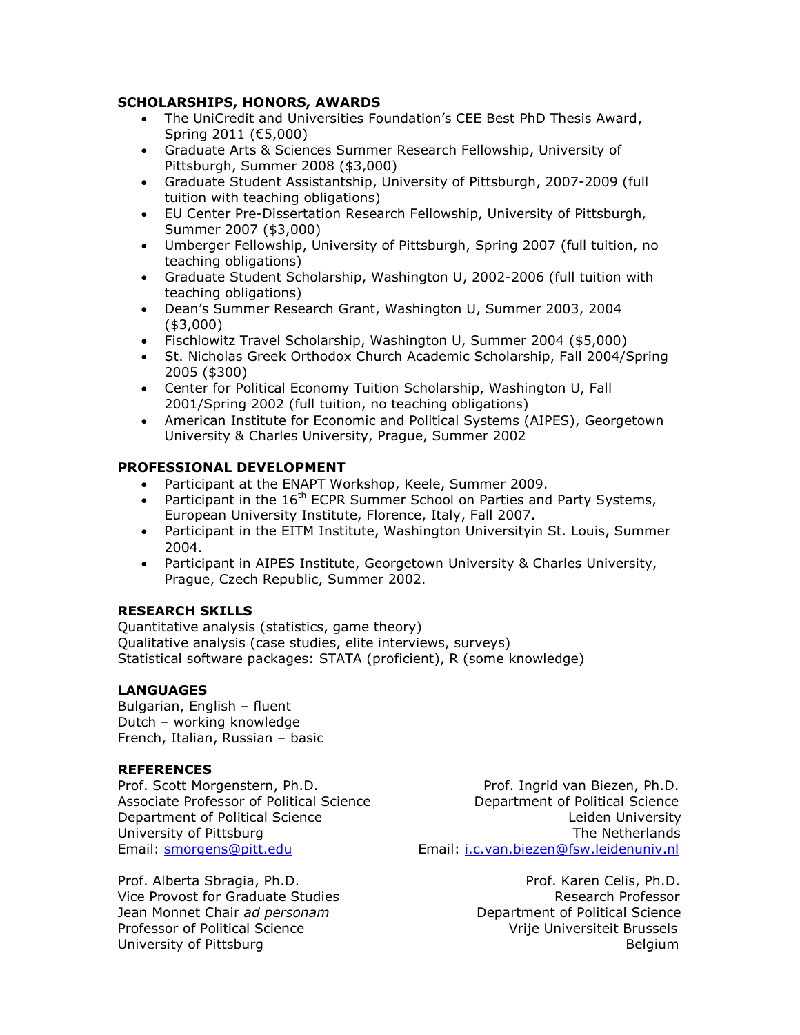## **SCHOLARSHIPS, HONORS, AWARDS**

- The UniCredit and Universities Foundation's CEE Best PhD Thesis Award, Spring 2011 (€5,000)
- Graduate Arts & Sciences Summer Research Fellowship, University of Pittsburgh, Summer 2008 (\$3,000)
- Graduate Student Assistantship, University of Pittsburgh, 2007-2009 (full tuition with teaching obligations)
- EU Center Pre-Dissertation Research Fellowship, University of Pittsburgh, Summer 2007 (\$3,000)
- Umberger Fellowship, University of Pittsburgh, Spring 2007 (full tuition, no teaching obligations)
- Graduate Student Scholarship, Washington U, 2002-2006 (full tuition with teaching obligations)
- Dean's Summer Research Grant, Washington U, Summer 2003, 2004 (\$3,000)
- Fischlowitz Travel Scholarship, Washington U, Summer 2004 (\$5,000)
- St. Nicholas Greek Orthodox Church Academic Scholarship, Fall 2004/Spring 2005 (\$300)
- Center for Political Economy Tuition Scholarship, Washington U, Fall 2001/Spring 2002 (full tuition, no teaching obligations)
- American Institute for Economic and Political Systems (AIPES), Georgetown University & Charles University, Prague, Summer 2002

# **PROFESSIONAL DEVELOPMENT**

- Participant at the ENAPT Workshop, Keele, Summer 2009.
- Participant in the  $16^{th}$  ECPR Summer School on Parties and Party Systems, European University Institute, Florence, Italy, Fall 2007.
- Participant in the EITM Institute, Washington Universityin St. Louis, Summer 2004.
- Participant in AIPES Institute, Georgetown University & Charles University, Prague, Czech Republic, Summer 2002.

## **RESEARCH SKILLS**

Quantitative analysis (statistics, game theory) Qualitative analysis (case studies, elite interviews, surveys) Statistical software packages: STATA (proficient), R (some knowledge)

## **LANGUAGES**

Bulgarian, English – fluent Dutch – working knowledge French, Italian, Russian – basic

## **REFERENCES**

Prof. Alberta Sbragia, Ph.D. **Prof. Karen Celis, Ph.D.** Prof. Karen Celis, Ph.D. Vice Provost for Graduate Studies **Research Professor** Research Professor Jean Monnet Chair *ad personam* **Department of Political Science** Professor of Political ScienceVrije Universiteit Brussels University of Pittsburg Belgium Belgium Belgium

Prof. Scott Morgenstern, Ph.D. Prof. Ingrid van Biezen, Ph.D. Associate Professor of Political Science Department of Political Science Department of Political Science Leiden University University of Pittsburg The Netherlands Email: [smorgens@pitt.edu](mailto:smorgens@pitt.edu) Email: [i.c.van.biezen@fsw.leidenuniv.nl](mailto:i.c.van.biezen@fsw.leidenuniv.nl)